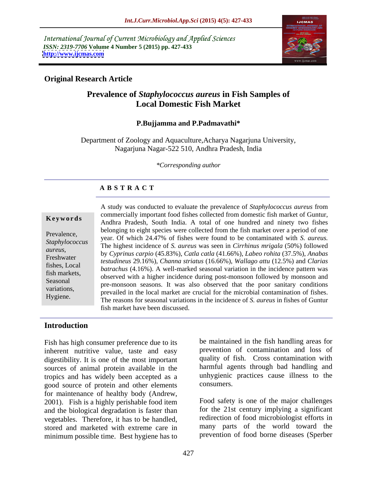International Journal of Current Microbiology and Applied Sciences *ISSN: 2319-7706* **Volume 4 Number 5 (2015) pp. 427-433 <http://www.ijcmas.com>**



# **Original Research Article**

# **Prevalence of** *Staphylococcus aureus* **in Fish Samples of Local Domestic Fish Market**

## **P.Bujjamma and P.Padmavathi\***

Department of Zoology and Aquaculture,Acharya Nagarjuna University, Nagarjuna Nagar-522 510, Andhra Pradesh, India

*\*Corresponding author*

# **A B S T R A C T**

Hygiene.

A study was conducted to evaluate the prevalence of *Staphylococcus aureus* from commercially important food fishes collected from domestic fish market of Guntur, **Keywords** Andhra Pradesh, South India. A total of one hundred and ninety two fishes belonging to eight species were collected from the fish market over a period of one Prevalence, were very series were concerced from the fish market over a period of one year. Of which 24.47% of fishes were found to be contaminated with *S. aureus.* Staphylococcus The highest incidence of *S. aureus* was seen in *Cirrhinus mrigala* (50%) followed by *Cyprinus carpio* (45.83%), *Catla catla* (41.66%), *Labeo rohita* (37.5%), *Anabas aureus*, Freshwater *testudineus* 29.16%), *Channa striatus* (16.66%), *Wallago attu* (12.5%) and *Clarias batrachus* (4.16%). A well-marked seasonal variation in the incidence pattern was fish markets,<br>
observed with a higher incidence during post-monsoon followed by monsoon and Seasonal<br>pre-monsoon seasons. It was also observed that the poor sanitary conditions pre-monsoon seasons. It was also observed that the poor samtally conditions prevailed in the local market are crucial for the microbial contamination of fishes. The reasons for seasonal variations in the incidence of *S. aureus* in fishes of Guntur fish market have been discussed.

### **Introduction**

Fish has high consumer preference due to its inherent nutritive value, taste and easy digestibility. It is one of the most important sources of animal protein available in the tropics and has widely been accepted as a unhygienic<br>good source of protein and other elements consumers. good source of protein and other elements for maintenance of healthy body (Andrew, 2001). Fish is a highly perishable food item and the biological degradation is faster than vegetables. Therefore, it has to be handled, stored and marketed with extreme care in minimum possible time. Best hygiene has to

be maintained in the fish handling areas for prevention of contamination and loss of quality of fish. Cross contamination with harmful agents through bad handling and unhygienic practices cause illness to the consumers.

Food safety is one of the major challenges for the 21st century implying a significant redirection of food microbiologist efforts in many parts of the world toward the prevention of food borne diseases (Sperber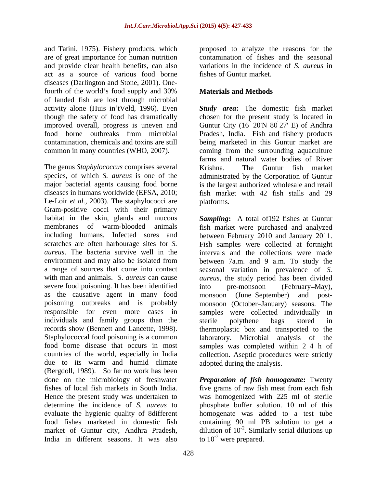and Tatini, 1975). Fishery products, which are of great importance for human nutrition and provide clear health benefits, can also act as a source of various food borne diseases (Darlington and Stone, 2001). Onefourth of the world's food supply and 30% **Materials and Methods** of landed fish are lost through microbial activity alone (Huis in'tVeld, 1996). Even

The genus *Staphylococcus* comprises several species, of which *S. aureus* is one of the administrated by the Corporation of Guntur major bacterial agents causing food borne is the largest authorized wholesale and retail diseases in humans worldwide (EFSA, 2010; fish market with 42 fish stalls and 29 Le-Loir *et al.*, 2003). The staphylococci are blatforms. Gram-positive cocci with their primary habitat in the skin, glands and mucous severe food poisoning. It has been identified into pre-monsoon (February–May), individuals and family groups than the sterile polythene bags stored in due to its warm and humid climate (Bergdoll, 1989). So far no work has been done on the microbiology of freshwater *Preparation of fish homogenate***:** Twenty fishes of local fish markets in South India. five grams of raw fish meat from each fish Hence the present study was undertaken to was homogenized with 225 ml of sterile determine the incidence of *S. aureus* to phosphate buffer solution. 10 ml of this evaluate the hygienic quality of 8different homogenate was added to a test tube food fishes marketed in domestic fish containing 90 ml PB solution to get a market of Guntur city, Andhra Pradesh, dilution of  $10^{-2}$ . Similarly serial dilutions up India in different seasons. It was also

proposed to analyze the reasons for the contamination of fishes and the seasonal variations in the incidence of *S. aureus* in fishes of Guntur market.

# **Materials and Methods**

though the safety of food has dramatically chosen for the present study is located in improved overall, progress is uneven and Guntur City (16 20'N 80 27' E) of Andhra food borne outbreaks from microbial Pradesh, India. Fish and fishery products contamination, chemicals and toxins are still being marketed in this Guntur market are common in many countries (WHO, 2007). coming from the surrounding aquaculture *Study area***:** The domestic fish market  $\degree$  20'N 80 $\degree$ 27' E) of Andhra  $^{\circ}27'$  E) of Andhra farms and natural water bodies of River Krishna. The Guntur fish market platforms.

membranes of warm-blooded animals fish market were purchased and analyzed including humans. Infected sores and between February 2010 and January 2011. scratches are often harbourage sites for *S.*  Fish samples were collected at fortnight *aureus*. The bacteria survive well in the intervals and the collections were made environment and may also be isolated from between 7a.m. and 9 a.m. To study the a range of sources that come into contact seasonal variation in prevalence of *S.*  with man and animals. *S*. *aureus* can cause *aureus*, the study period has been divided as the causative agent in many food monsoon (June September) and post poisoning outbreaks and is probably monsoon (October January) seasons. The responsible for even more cases in samples were collected individually in records show (Bennett and Lancette, 1998). thermoplastic box and transported to the Staphylococcal food poisoning is a common laboratory. Microbial analysis of the food borne disease that occurs in most samples was completed within 2–4 h of countries of the world, especially in India collection. Aseptic procedures were strictly *Sampling***:** A total of192 fishes at Guntur into pre-monsoon (February–May), sterile polythene bags stored in adopted during the analysis.

> to  $10^{-7}$  were prepared. to  $10^{-7}$  were prepared.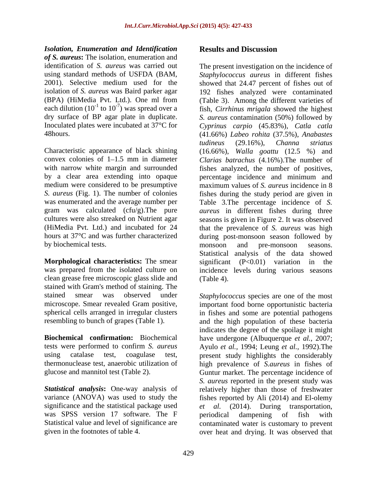*Isolation, Enumeration and Identification of S. aureus***:** The isolation, enumeration and each dilution  $(10^{-1} \text{ to } 10^{-7})$  was spread over a<br>dry surface of BP agar plate in duplicate.

by a clear area extending into opaque bercentage incidence and minimum and gram was calculated (cfu/g).The pure by biochemical tests. The monsoon and pre-monsoon seasons.

**Morphological characteristics:** The smear significant (P<0.01) variation in the clean grease free microscopic glass slide and stained with Gram's method of staining. The

significance and the statistical package used *et al.* was SPSS version 17 software. The F periodical dampening of fish with

# **Results and Discussion**

identification of *S. aureus* was carried out The present investigation on the incidence of using standard methods of USFDA (BAM, *Staphylococcus aureus* in different fishes 2001). Selective medium used for the showed that 24.47 percent of fishes out of isolation of *S. aureus* was Baird parker agar 192 fishes analyzed were contaminated (BPA) (HiMedia Pvt. Ltd.). One ml from (Table 3). Among the different varieties of to 10-7 ) was spread over a fish, *Cirrhinus mrigala* showed the highest dry surface of BP agar plate in duplicate. *S. aureus* contamination (50%) followed by Inoculated plates were incubated at 37°C for *Cyprinus carpio* (45.83%), *Catla catla* 48hours. (41.66%) *Labeo rohita* (37.5%), *Anabastes* Characteristic appearance of black shining (16.66%), *Walla goattu* (12.5 %) and convex colonies of 1–1.5 mm in diameter *Clarias batrachus* (4.16%). The number of with narrow white margin and surrounded fishes analyzed, the number of positives, medium were considered to be presumptive maximum values of *S. aureus* incidence in 8 *S. aureus* (Fig. 1). The number of colonies fishes during the study period are given in was enumerated and the average number per Table 3.The percentage incidence of *S.*  cultures were also streaked on Nutrient agar seasons is given in Figure 2. It was observed (HiMedia Pvt. Ltd.) and incubated for 24 that the prevalence of *S. aureus* was high hours at 37°C and was further characterized during post-monsoon season followed by was prepared from the isolated culture on incidence levels during various seasons *tudineus* (29.16%), *Channa striatus* percentage incidence and minimum and *aureus* in different fishes during three monsoon and pre-monsoon seasons. Statistical analysis of the data showed significant  $(P<0.01)$  variation (Table 4).

stained smear was observed under *Staphylococcus* species are one of the most microscope. Smear revealed Gram positive, important food borne opportunistic bacteria spherical cells arranged in irregular clusters in fishes and some are potential pathogens resembling to bunch of grapes (Table 1). and the high population of these bacteria **Biochemical confirmation:** Biochemical have undergone (Albuquerque *et al.,* 2007; tests were performed to confirm *S. aureus* Ayulo *et al.,* 1994; Leung *et al.,* 1992).The using catalase test, coagulase test, present study highlights the considerably thermonuclease test, anaerobic utilization of high prevalence of *S.aureus* in fishes of glucose and mannitol test (Table 2). Guntur market. The percentage incidence of **Statistical analysis:** One-way analysis of relatively higher than those of freshwater variance (ANOVA) was used to study the fishes reported by Ali (2014) and El-olemy Statistical value and level of significance are contaminated water is customary to prevent given in the footnotes of table 4. over heat and drying. It was observed thatindicates the degree of the spoilage it might *S. aureus* reported in the present study was *et al.* (2014). During transportation, periodical dampening of fish with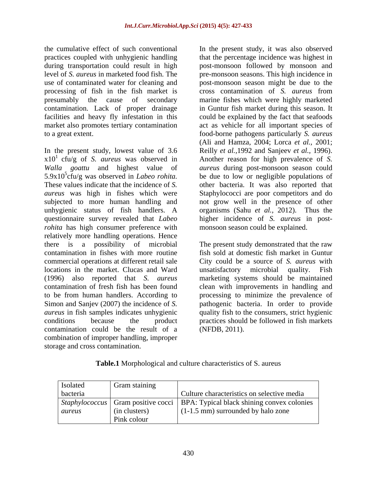In the present study, lowest value of 3.6 Reilly *et al.,*1992 and Sanjeev *et al.,* 1996).  $x10<sup>1</sup>$  cfu/g of *S. aureus* was observed in Another reason for high prevalence of *S. Walla goattu* and highest value of *aureus* during post-monsoon season could 5.9x10<sup>5</sup>cfu/g was observed in *Labeo rohita*. be due to low or negligible populations of These values indicate that the incidence of *S.*  other bacteria. It was also reported that *aureus* was high in fishes which were Staphylococci are poor competitors and do subjected to more human handling and not grow well in the presence of other unhygienic status of fish handlers. A organisms (Sahu *et al.,* 2012). Thus the questionnaire survey revealed that *Labeo* higher incidence of *S. aureus* in post *rohita* has high consumer preference with relatively more handling operations. Hence there is a possibility of microbial The present study demonstrated that the raw contamination in fishes with more routine fish sold at domestic fish market in Guntur commercial operations at different retail sale City could be a source of *S. aureus* with locations in the market. Clucas and Ward (1996) also reported that *S. aureus* marketing systems should be maintained contamination of fresh fish has been found clean with improvements in handling and to be from human handlers. According to processing to minimize the prevalence of Simon and Sanjev (2007) the incidence of *S.*  pathogenic bacteria. In order to provide *aureus* in fish samples indicates unhygienic quality fish to the consumers, strict hygienic conditions because the product practices should be followed in fish markets contamination could be the result of a combination of improper handling, improper storage and cross contamination.

the cumulative effect of such conventional In the present study, it was also observed practices coupled with unhygienic handling that the percentage incidence was highest in during transportation could result in high post-monsoon followed by monsoon and level of *S. aureus* in marketed food fish. The pre-monsoon seasons. This high incidence in use of contaminated water for cleaning and post-monsoon season might be due to the processing of fish in the fish market is crosscontamination of *S. aureus* from presumably the cause of secondary marine fishes which were highly marketed contamination. Lack of proper drainage in Guntur fish market during this season. It facilities and heavy fly infestation in this could be explained by the fact that seafoods market also promotes tertiary contamination act as vehicle for all important species of to a great extent. food-borne pathogens particularly *S. aureus* (Ali and Hamza, 2004; Lorca *et al.,* 2001; monsoon season could be explained.

> unsatisfactory microbial quality. (NFDB, 2011).

| <b>Isolated</b> | Gram staining |                                                                                          |
|-----------------|---------------|------------------------------------------------------------------------------------------|
| bacteria        |               | Culture characteristics on selective media                                               |
|                 |               | <i>Staphylococcus</i>   Gram positive cocci   BPA: Typical black shining convex colonies |
| aureus          | (in clusters) | $(1-1.5 \text{ mm})$ surrounded by halo zone                                             |
|                 | Pink colour   |                                                                                          |

## **Table.1** Morphological and culture characteristics of S. aureus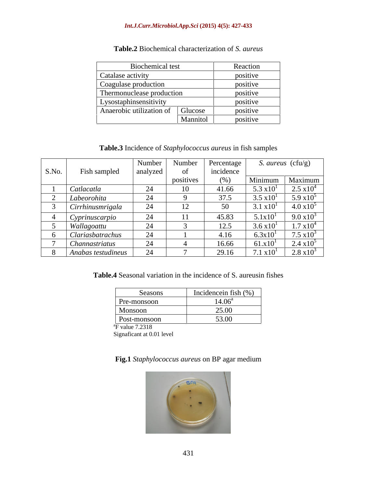### *Int.J.Curr.Microbiol.App.Sci* **(2015) 4(5): 427-433**

| Biochemical test                    | Reaction |
|-------------------------------------|----------|
| Catalase activity                   | positive |
| Coagulase production                | positive |
| Thermonuclease production           | positive |
| Lysostaphinsensitivity              | positive |
| Glucose<br>Anaerobic utilization of | positive |
| Mannitol                            | positive |

# **Table.2** Biochemical characterization of *S. aureus*

**Table.3** Incidence of *Staphylococcus aureus* in fish samples

|       |                    | Number   | Number   Percentage |           |                       | S. aureus (cfu/g)   |
|-------|--------------------|----------|---------------------|-----------|-----------------------|---------------------|
| S.No. | Fish sampled       | analyzed |                     | incidence |                       |                     |
|       |                    |          | positives           | (% )      |                       | Minimum   Maximum   |
|       | Catlacatla         |          |                     | 41.66     | $5.3 \times 10$       | $2.5 \times 10^{4}$ |
|       | Labeorohita        | 24       |                     | 37.5      | $3.5 \times 10^{1}$   | 5.9 $x10^5$         |
|       | Cirrhinusmrigala   | -44      | $\overline{1}$      | 50        | $3.1 \times 10^{1}$   | $4.0 \times 10^5$   |
|       | Cyprinuscarpic     | - 44     |                     | 45.83     | 5.1x10                | 9.0 $x10^3$         |
|       | Wallagoattu        | 24       |                     | 12.5      | $3.6 \times 10^{1}$   | $1.7 \times 10^{4}$ |
|       | Clariasbatrachus   | 24       |                     | 4.16      | 6.3x10                | 7.5 $x10^3$         |
|       | Channastriatus     | 24       |                     | 16.66     | 61.x10 <sup>1</sup>   | $2.4 \times 10^{5}$ |
|       | Anabas testudineus | 24       |                     | 29.16     | $7.1 \text{ x}10^{1}$ | $2.8 \times 10^3$   |

**Table.4** Seasonal variation in the incidence of S. aureusin fishes

| Seasons                     | Incidence in the $(\% )$ |
|-----------------------------|--------------------------|
| Pre-monsoon                 | $4.06^{\circ}$           |
| Monsoon                     | 25.00                    |
| Post-monsoon                | 53.00                    |
| <sup>*</sup> F value 7.2318 |                          |

Signaficant at 0.01 level

## **Fig.1** *Staphylococcus aureus* on BP agar medium

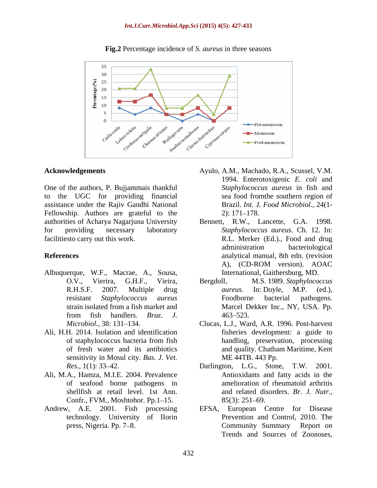

### **Fig.2** Percentage incidence of *S. aureus* in three seasons

One of the authors, P. Bujjammais thankful to the UGC for providing financial assistance under the Rajiv Gandhi National Fellowship. Authors are grateful to the 2: 171–178. authorities of Acharya Nagarjuna University for providing necessary laboratory *Staphylococcus aureus.* Ch. 12. In: facilitiesto carry out this work. R.L. Merker (Ed.)., Food and drug

- Albuquerque, W.F., Macrae, A., Sousa,
- Ali, H.H. 2014. Isolation and identification sensitivity in Mosul city. *Bas. J. Vet.*
- Ali, M.A., Hamza, M.I.E. 2004. Prevalence of seafood borne pathogens in shellfish at retail level. 1st Ann. Confr., FVM., Moshtohor. Pp.1–15. 85(3): 251–69.
- 
- **Acknowledgements**  Ayulo, A.M., Machado, R.A., Scussel, V.M. 1994. Enterotoxigenic *E. coli* and *Staphylococcus aureus* in fish and sea food fromthe southern region of Brazil. *Int. J. Food Microbiol.,* 24(1- 2): 171 178.
- **References** analytical manual, 8th edn. (revision R.W., Lancette, G.A. 1998. administration bacteriological A), (CD-ROM version). AOAC International, Gaithersburg, MD.
	- O.V., Vierira, G.H.F., Vieira, Bergdoll, M.S. 1989. *Staphylococcus*  R.H.S.F. 2007. Multiple drug *aureus*. In: Doyle, M.P. (ed.), resistant *Staphylococcus aureus* strain isolated from a fish market and Marcel Dekker Inc., NY, USA. Pp. from fish handlers. *Braz. J. aureus*. In: Doyle, M.P. (ed.), Foodborne bacterial pathogens. 463–523.
	- *Microbiol.*, 38: 131–134. Clucas, L.J., Ward, A.R. 1996. Post-harvest of staphylococcus bacteria from fish of fresh water and its antibiotics and quality. Chatham Maritime, Kent fisheries development: a guide to handling, preservation, processing ME 44TB. 443 Pp.
	- *Res.,* 1(1): 33 42. Darlington, L.G., Stone, T.W. 2001. Antioxidants and fatty acids in the amelioration of rheumatoid arthritis and related disorders. *Br. J. Nutr.,*  $85(3)$ : 251–69.
- Andrew, A.E. 2001. Fish processing EFSA, European Centre for Disease technology. University of IIorin Prevention and Control, 2010. The press, Nigeria. Pp. 7–8. The Community Summary Report on Trends and Sources of Zoonoses,